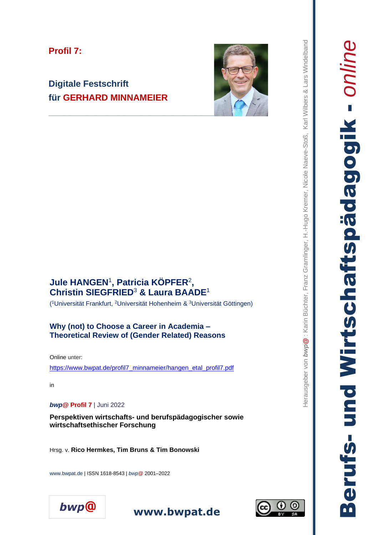## **Profil 7:**

# **Digitale Festschrift für GERHARD MINNAMEIER**



# **Jule HANGEN** 1 **, Patricia KÖPFER** 2 **, Christin SIEGFRIED** 3 **& Laura BAADE** 1

( <sup>1</sup>Universität Frankfurt, <sup>2</sup>Universität Hohenheim & <sup>3</sup>Universität Göttingen )

#### **Why (not) to Choose a Career in Academia – Theoretical Review of (Gender Related) Reasons**

Online unter:

[https://www.bwpat.de/profil7\\_minnameier/hangen\\_etal\\_profil7.pdf](https://www.bwpat.de/profil7_minnameier/hangen_etal_profil7.pdf) 

in

#### *bwp***@ Profil 7** | Juni 2022

**Perspektiven wirtschafts - und berufspädagogischer sowie wirtschaftsethischer Forschung**

Hrsg. v. **Rico Hermkes, Tim Bruns & Tim Bonowsk i**

www.bwpat.de | ISSN 1618 -8543 | *bwp @* 2001 –2022





Berufs- und Wirtschaftspädagogik - *online*

und Wirtschaftspädagogik

**Berufs-**

**PUILUC**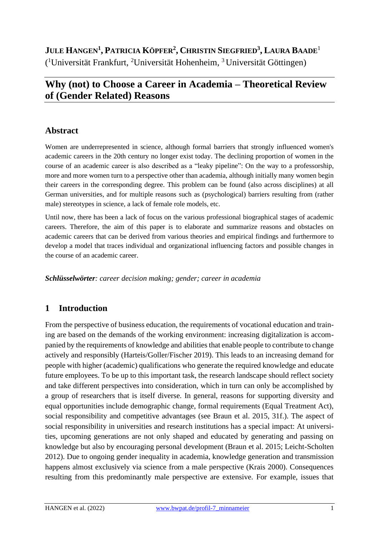# **JULE HANGEN<sup>1</sup> , PATRICIA KÖPFER<sup>2</sup> , CHRISTIN SIEGFRIED<sup>3</sup> , LAURA BAADE**<sup>1</sup> ( <sup>1</sup>Universität Frankfurt, <sup>2</sup>Universität Hohenheim, <sup>3</sup>Universität Göttingen)

# **Why (not) to Choose a Career in Academia – Theoretical Review of (Gender Related) Reasons**

### **Abstract**

Women are underrepresented in science, although formal barriers that strongly influenced women's academic careers in the 20th century no longer exist today. The declining proportion of women in the course of an academic career is also described as a "leaky pipeline": On the way to a professorship, more and more women turn to a perspective other than academia, although initially many women begin their careers in the corresponding degree. This problem can be found (also across disciplines) at all German universities, and for multiple reasons such as (psychological) barriers resulting from (rather male) stereotypes in science, a lack of female role models, etc.

Until now, there has been a lack of focus on the various professional biographical stages of academic careers. Therefore, the aim of this paper is to elaborate and summarize reasons and obstacles on academic careers that can be derived from various theories and empirical findings and furthermore to develop a model that traces individual and organizational influencing factors and possible changes in the course of an academic career.

*Schlüsselwörter: career decision making; gender; career in academia* 

## **1 Introduction**

From the perspective of business education, the requirements of vocational education and training are based on the demands of the working environment: increasing digitalization is accompanied by the requirements of knowledge and abilities that enable people to contribute to change actively and responsibly (Harteis/Goller/Fischer 2019). This leads to an increasing demand for people with higher (academic) qualifications who generate the required knowledge and educate future employees. To be up to this important task, the research landscape should reflect society and take different perspectives into consideration, which in turn can only be accomplished by a group of researchers that is itself diverse. In general, reasons for supporting diversity and equal opportunities include demographic change, formal requirements (Equal Treatment Act), social responsibility and competitive advantages (see Braun et al. 2015, 31f.). The aspect of social responsibility in universities and research institutions has a special impact: At universities, upcoming generations are not only shaped and educated by generating and passing on knowledge but also by encouraging personal development (Braun et al. 2015; Leicht-Scholten 2012). Due to ongoing gender inequality in academia, knowledge generation and transmission happens almost exclusively via science from a male perspective (Krais 2000). Consequences resulting from this predominantly male perspective are extensive. For example, issues that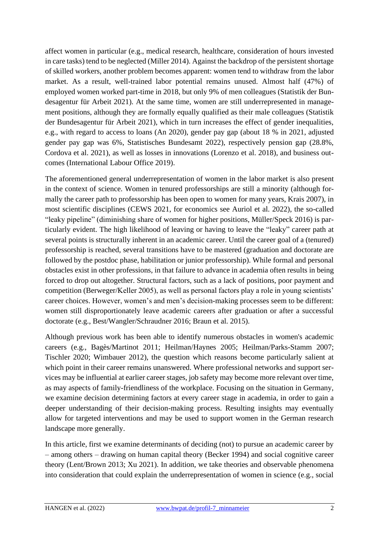affect women in particular (e.g., medical research, healthcare, consideration of hours invested in care tasks) tend to be neglected (Miller 2014). Against the backdrop of the persistent shortage of skilled workers, another problem becomes apparent: women tend to withdraw from the labor market. As a result, well-trained labor potential remains unused. Almost half (47%) of employed women worked part-time in 2018, but only 9% of men colleagues (Statistik der Bundesagentur für Arbeit 2021). At the same time, women are still underrepresented in management positions, although they are formally equally qualified as their male colleagues (Statistik der Bundesagentur für Arbeit 2021), which in turn increases the effect of gender inequalities, e.g., with regard to access to loans (An 2020), gender pay gap (about 18 % in 2021, adjusted gender pay gap was 6%, Statistisches Bundesamt 2022), respectively pension gap (28.8%, Cordova et al. 2021), as well as losses in innovations (Lorenzo et al. 2018), and business outcomes (International Labour Office 2019).

The aforementioned general underrepresentation of women in the labor market is also present in the context of science. Women in tenured professorships are still a minority (although formally the career path to professorship has been open to women for many years, Krais 2007), in most scientific disciplines (CEWS 2021, for economics see Auriol et al. 2022), the so-called "leaky pipeline" (diminishing share of women for higher positions, Müller/Speck 2016) is particularly evident. The high likelihood of leaving or having to leave the "leaky" career path at several points is structurally inherent in an academic career. Until the career goal of a (tenured) professorship is reached, several transitions have to be mastered (graduation and doctorate are followed by the postdoc phase, habilitation or junior professorship). While formal and personal obstacles exist in other professions, in that failure to advance in academia often results in being forced to drop out altogether. Structural factors, such as a lack of positions, poor payment and competition (Berweger/Keller 2005), as well as personal factors play a role in young scientists' career choices. However, women's and men's decision-making processes seem to be different: women still disproportionately leave academic careers after graduation or after a successful doctorate (e.g., Best/Wangler/Schraudner 2016; Braun et al. 2015).

Although previous work has been able to identify numerous obstacles in women's academic careers (e.g., Bagès/Martinot 2011; Heilman/Haynes 2005; Heilman/Parks-Stamm 2007; Tischler 2020; Wimbauer 2012), the question which reasons become particularly salient at which point in their career remains unanswered. Where professional networks and support services may be influential at earlier career stages, job safety may become more relevant over time, as may aspects of family-friendliness of the workplace. Focusing on the situation in Germany, we examine decision determining factors at every career stage in academia, in order to gain a deeper understanding of their decision-making process. Resulting insights may eventually allow for targeted interventions and may be used to support women in the German research landscape more generally.

In this article, first we examine determinants of deciding (not) to pursue an academic career by – among others – drawing on human capital theory (Becker 1994) and social cognitive career theory (Lent/Brown 2013; Xu 2021). In addition, we take theories and observable phenomena into consideration that could explain the underrepresentation of women in science (e.g., social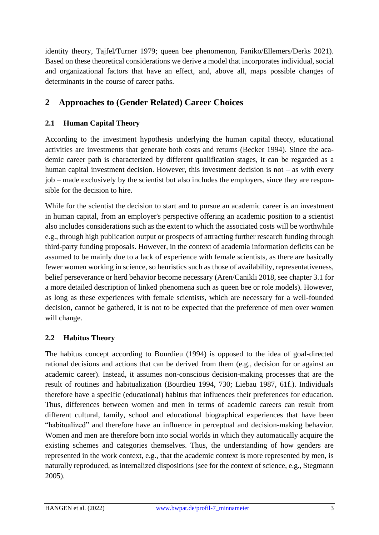identity theory, Tajfel/Turner 1979; queen bee phenomenon, Faniko/Ellemers/Derks 2021). Based on these theoretical considerations we derive a model that incorporates individual, social and organizational factors that have an effect, and, above all, maps possible changes of determinants in the course of career paths.

## **2 Approaches to (Gender Related) Career Choices**

#### **2.1 Human Capital Theory**

According to the investment hypothesis underlying the human capital theory, educational activities are investments that generate both costs and returns (Becker 1994). Since the academic career path is characterized by different qualification stages, it can be regarded as a human capital investment decision. However, this investment decision is not – as with every job – made exclusively by the scientist but also includes the employers, since they are responsible for the decision to hire.

While for the scientist the decision to start and to pursue an academic career is an investment in human capital, from an employer's perspective offering an academic position to a scientist also includes considerations such as the extent to which the associated costs will be worthwhile e.g., through high publication output or prospects of attracting further research funding through third-party funding proposals. However, in the context of academia information deficits can be assumed to be mainly due to a lack of experience with female scientists, as there are basically fewer women working in science, so heuristics such as those of availability, representativeness, belief perseverance or herd behavior become necessary (Aren/Canikli 2018, see chapter 3.1 for a more detailed description of linked phenomena such as queen bee or role models). However, as long as these experiences with female scientists, which are necessary for a well-founded decision, cannot be gathered, it is not to be expected that the preference of men over women will change.

#### **2.2 Habitus Theory**

The habitus concept according to Bourdieu (1994) is opposed to the idea of goal-directed rational decisions and actions that can be derived from them (e.g., decision for or against an academic career). Instead, it assumes non-conscious decision-making processes that are the result of routines and habitualization (Bourdieu 1994, 730; Liebau 1987, 61f.). Individuals therefore have a specific (educational) habitus that influences their preferences for education. Thus, differences between women and men in terms of academic careers can result from different cultural, family, school and educational biographical experiences that have been "habitualized" and therefore have an influence in perceptual and decision-making behavior. Women and men are therefore born into social worlds in which they automatically acquire the existing schemes and categories themselves. Thus, the understanding of how genders are represented in the work context, e.g., that the academic context is more represented by men, is naturally reproduced, as internalized dispositions (see for the context of science, e.g., Stegmann 2005).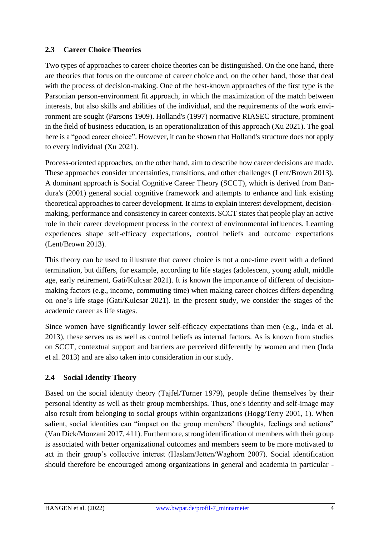#### **2.3 Career Choice Theories**

Two types of approaches to career choice theories can be distinguished. On the one hand, there are theories that focus on the outcome of career choice and, on the other hand, those that deal with the process of decision-making. One of the best-known approaches of the first type is the Parsonian person-environment fit approach, in which the maximization of the match between interests, but also skills and abilities of the individual, and the requirements of the work environment are sought (Parsons 1909). Holland's (1997) normative RIASEC structure, prominent in the field of business education, is an operationalization of this approach (Xu 2021). The goal here is a "good career choice". However, it can be shown that Holland's structure does not apply to every individual (Xu 2021).

Process-oriented approaches, on the other hand, aim to describe how career decisions are made. These approaches consider uncertainties, transitions, and other challenges (Lent/Brown 2013). A dominant approach is Social Cognitive Career Theory (SCCT), which is derived from Bandura's (2001) general social cognitive framework and attempts to enhance and link existing theoretical approaches to career development. It aims to explain interest development, decisionmaking, performance and consistency in career contexts. SCCT states that people play an active role in their career development process in the context of environmental influences. Learning experiences shape self-efficacy expectations, control beliefs and outcome expectations (Lent/Brown 2013).

This theory can be used to illustrate that career choice is not a one-time event with a defined termination, but differs, for example, according to life stages (adolescent, young adult, middle age, early retirement, Gati/Kulcsar 2021). It is known the importance of different of decisionmaking factors (e.g., income, commuting time) when making career choices differs depending on one's life stage (Gati/Kulcsar 2021). In the present study, we consider the stages of the academic career as life stages.

Since women have significantly lower self-efficacy expectations than men (e.g., Inda et al. 2013), these serves us as well as control beliefs as internal factors. As is known from studies on SCCT, contextual support and barriers are perceived differently by women and men (Inda et al. 2013) and are also taken into consideration in our study.

#### **2.4 Social Identity Theory**

Based on the social identity theory (Tajfel/Turner 1979), people define themselves by their personal identity as well as their group memberships. Thus, one's identity and self-image may also result from belonging to social groups within organizations (Hogg/Terry 2001, 1). When salient, social identities can "impact on the group members' thoughts, feelings and actions" (Van Dick/Monzani 2017, 411). Furthermore, strong identification of members with their group is associated with better organizational outcomes and members seem to be more motivated to act in their group's collective interest (Haslam/Jetten/Waghorn 2007). Social identification should therefore be encouraged among organizations in general and academia in particular -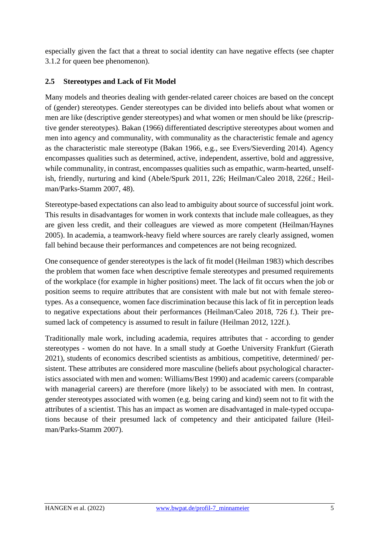especially given the fact that a threat to social identity can have negative effects (see chapter 3.1.2 for queen bee phenomenon).

#### **2.5 Stereotypes and Lack of Fit Model**

Many models and theories dealing with gender-related career choices are based on the concept of (gender) stereotypes. Gender stereotypes can be divided into beliefs about what women or men are like (descriptive gender stereotypes) and what women or men should be like (prescriptive gender stereotypes). Bakan (1966) differentiated descriptive stereotypes about women and men into agency and communality, with communality as the characteristic female and agency as the characteristic male stereotype (Bakan 1966, e.g., see Evers/Sieverding 2014). Agency encompasses qualities such as determined, active, independent, assertive, bold and aggressive, while communality, in contrast, encompasses qualities such as empathic, warm-hearted, unselfish, friendly, nurturing and kind (Abele/Spurk 2011, 226; Heilman/Caleo 2018, 226f.; Heilman/Parks-Stamm 2007, 48).

Stereotype-based expectations can also lead to ambiguity about source of successful joint work. This results in disadvantages for women in work contexts that include male colleagues, as they are given less credit, and their colleagues are viewed as more competent (Heilman/Haynes 2005). In academia, a teamwork-heavy field where sources are rarely clearly assigned, women fall behind because their performances and competences are not being recognized.

One consequence of gender stereotypes is the lack of fit model (Heilman 1983) which describes the problem that women face when descriptive female stereotypes and presumed requirements of the workplace (for example in higher positions) meet. The lack of fit occurs when the job or position seems to require attributes that are consistent with male but not with female stereotypes. As a consequence, women face discrimination because this lack of fit in perception leads to negative expectations about their performances (Heilman/Caleo 2018, 726 f.). Their presumed lack of competency is assumed to result in failure (Heilman 2012, 122f.).

Traditionally male work, including academia, requires attributes that - according to gender stereotypes - women do not have. In a small study at Goethe University Frankfurt (Gierath 2021), students of economics described scientists as ambitious, competitive, determined/ persistent. These attributes are considered more masculine (beliefs about psychological characteristics associated with men and women: Williams/Best 1990) and academic careers (comparable with managerial careers) are therefore (more likely) to be associated with men. In contrast, gender stereotypes associated with women (e.g. being caring and kind) seem not to fit with the attributes of a scientist. This has an impact as women are disadvantaged in male-typed occupations because of their presumed lack of competency and their anticipated failure (Heilman/Parks-Stamm 2007).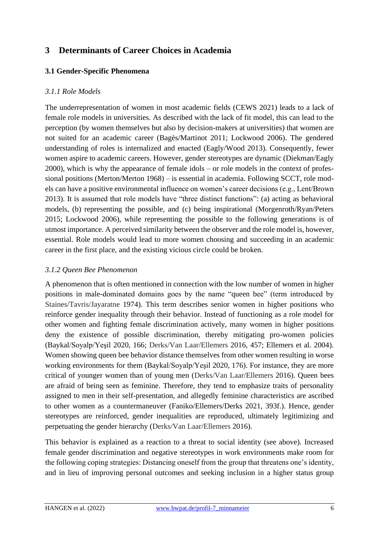## **3 Determinants of Career Choices in Academia**

#### **3.1 Gender-Specific Phenomena**

#### *3.1.1 Role Models*

The underrepresentation of women in most academic fields (CEWS 2021) leads to a lack of female role models in universities. As described with the lack of fit model, this can lead to the perception (by women themselves but also by decision-makers at universities) that women are not suited for an academic career (Bagès/Martinot 2011; Lockwood 2006). The gendered understanding of roles is internalized and enacted (Eagly/Wood 2013). Consequently, fewer women aspire to academic careers. However, gender stereotypes are dynamic (Diekman/Eagly 2000), which is why the appearance of female idols – or role models in the context of professional positions (Merton/Merton 1968) – is essential in academia. Following SCCT, role models can have a positive environmental influence on women's career decisions (e.g., Lent/Brown 2013). It is assumed that role models have "three distinct functions": (a) acting as behavioral models, (b) representing the possible, and (c) being inspirational (Morgenroth/Ryan/Peters 2015; Lockwood 2006), while representing the possible to the following generations is of utmost importance. A perceived similarity between the observer and the role model is, however, essential. Role models would lead to more women choosing and succeeding in an academic career in the first place, and the existing vicious circle could be broken.

#### *3.1.2 Queen Bee Phenomenon*

A phenomenon that is often mentioned in connection with the low number of women in higher positions in male-dominated domains goes by the name "queen bee" (term introduced by Staines/Tavris/Jayaratne 1974). This term describes senior women in higher positions who reinforce gender inequality through their behavior. Instead of functioning as a role model for other women and fighting female discrimination actively, many women in higher positions deny the existence of possible discrimination, thereby mitigating pro-women policies (Baykal/Soyalp/Yeşil 2020, 166; Derks/Van Laar/Ellemers 2016, 457; Ellemers et al. 2004). Women showing queen bee behavior distance themselves from other women resulting in worse working environments for them (Baykal/Soyalp/Yeşil 2020, 176). For instance, they are more critical of younger women than of young men (Derks/Van Laar/Ellemers 2016). Queen bees are afraid of being seen as feminine. Therefore, they tend to emphasize traits of personality assigned to men in their self-presentation, and allegedly feminine characteristics are ascribed to other women as a countermaneuver (Faniko/Ellemers/Derks 2021, 393f.). Hence, gender stereotypes are reinforced, gender inequalities are reproduced, ultimately legitimizing and perpetuating the gender hierarchy (Derks/Van Laar/Ellemers 2016).

This behavior is explained as a reaction to a threat to social identity (see above). Increased female gender discrimination and negative stereotypes in work environments make room for the following coping strategies: Distancing oneself from the group that threatens one's identity, and in lieu of improving personal outcomes and seeking inclusion in a higher status group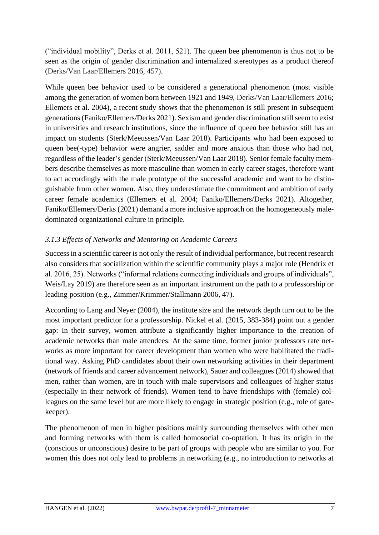("individual mobility", Derks et al. 2011, 521). The queen bee phenomenon is thus not to be seen as the origin of gender discrimination and internalized stereotypes as a product thereof (Derks/Van Laar/Ellemers 2016, 457).

While queen bee behavior used to be considered a generational phenomenon (most visible among the generation of women born between 1921 and 1949, Derks/Van Laar/Ellemers 2016; Ellemers et al. 2004), a recent study shows that the phenomenon is still present in subsequent generations (Faniko/Ellemers/Derks 2021). Sexism and gender discrimination still seem to exist in universities and research institutions, since the influence of queen bee behavior still has an impact on students (Sterk/Meeussen/Van Laar 2018). Participants who had been exposed to queen bee(-type) behavior were angrier, sadder and more anxious than those who had not, regardless of the leader's gender (Sterk/Meeussen/Van Laar 2018). Senior female faculty members describe themselves as more masculine than women in early career stages, therefore want to act accordingly with the male prototype of the successful academic and want to be distinguishable from other women. Also, they underestimate the commitment and ambition of early career female academics (Ellemers et al. 2004; Faniko/Ellemers/Derks 2021). Altogether, Faniko/Ellemers/Derks (2021) demand a more inclusive approach on the homogeneously maledominated organizational culture in principle.

#### *3.1.3 Effects of Networks and Mentoring on Academic Careers*

Success in a scientific career is not only the result of individual performance, but recent research also considers that socialization within the scientific community plays a major role (Hendrix et al. 2016, 25). Networks ("informal relations connecting individuals and groups of individuals", Weis/Lay 2019) are therefore seen as an important instrument on the path to a professorship or leading position (e.g., Zimmer/Krimmer/Stallmann 2006, 47).

According to Lang and Neyer (2004), the institute size and the network depth turn out to be the most important predictor for a professorship. Nickel et al. (2015, 383-384) point out a gender gap: In their survey, women attribute a significantly higher importance to the creation of academic networks than male attendees. At the same time, former junior professors rate networks as more important for career development than women who were habilitated the traditional way. Asking PhD candidates about their own networking activities in their department (network of friends and career advancement network), Sauer and colleagues (2014) showed that men, rather than women, are in touch with male supervisors and colleagues of higher status (especially in their network of friends). Women tend to have friendships with (female) colleagues on the same level but are more likely to engage in strategic position (e.g., role of gatekeeper).

The phenomenon of men in higher positions mainly surrounding themselves with other men and forming networks with them is called homosocial co-optation. It has its origin in the (conscious or unconscious) desire to be part of groups with people who are similar to you. For women this does not only lead to problems in networking (e.g., no introduction to networks at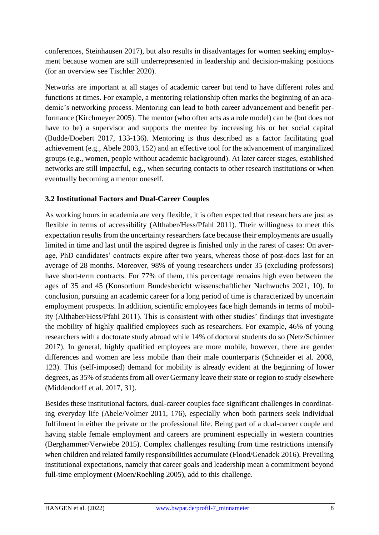conferences, Steinhausen 2017), but also results in disadvantages for women seeking employment because women are still underrepresented in leadership and decision-making positions (for an overview see Tischler 2020).

Networks are important at all stages of academic career but tend to have different roles and functions at times. For example, a mentoring relationship often marks the beginning of an academic's networking process. Mentoring can lead to both career advancement and benefit performance (Kirchmeyer 2005). The mentor (who often acts as a role model) can be (but does not have to be) a supervisor and supports the mentee by increasing his or her social capital (Budde/Doebert 2017, 133-136). Mentoring is thus described as a factor facilitating goal achievement (e.g., Abele 2003, 152) and an effective tool for the advancement of marginalized groups (e.g., women, people without academic background). At later career stages, established networks are still impactful, e.g., when securing contacts to other research institutions or when eventually becoming a mentor oneself.

#### **3.2 Institutional Factors and Dual-Career Couples**

As working hours in academia are very flexible, it is often expected that researchers are just as flexible in terms of accessibility (Althaber/Hess/Pfahl 2011). Their willingness to meet this expectation results from the uncertainty researchers face because their employments are usually limited in time and last until the aspired degree is finished only in the rarest of cases: On average, PhD candidates' contracts expire after two years, whereas those of post-docs last for an average of 28 months. Moreover, 98% of young researchers under 35 (excluding professors) have short-term contracts. For 77% of them, this percentage remains high even between the ages of 35 and 45 (Konsortium Bundesbericht wissenschaftlicher Nachwuchs 2021, 10). In conclusion, pursuing an academic career for a long period of time is characterized by uncertain employment prospects. In addition, scientific employees face high demands in terms of mobility (Althaber/Hess/Pfahl 2011). This is consistent with other studies' findings that investigate the mobility of highly qualified employees such as researchers. For example, 46% of young researchers with a doctorate study abroad while 14% of doctoral students do so (Netz/Schirmer 2017). In general, highly qualified employees are more mobile, however, there are gender differences and women are less mobile than their male counterparts (Schneider et al. 2008, 123). This (self-imposed) demand for mobility is already evident at the beginning of lower degrees, as 35% of students from all over Germany leave their state or region to study elsewhere (Middendorff et al. 2017, 31).

Besides these institutional factors, dual-career couples face significant challenges in coordinating everyday life (Abele/Volmer 2011, 176), especially when both partners seek individual fulfilment in either the private or the professional life. Being part of a dual-career couple and having stable female employment and careers are prominent especially in western countries (Berghammer/Verwiebe 2015). Complex challenges resulting from time restrictions intensify when children and related family responsibilities accumulate (Flood/Genadek 2016). Prevailing institutional expectations, namely that career goals and leadership mean a commitment beyond full-time employment (Moen/Roehling 2005), add to this challenge.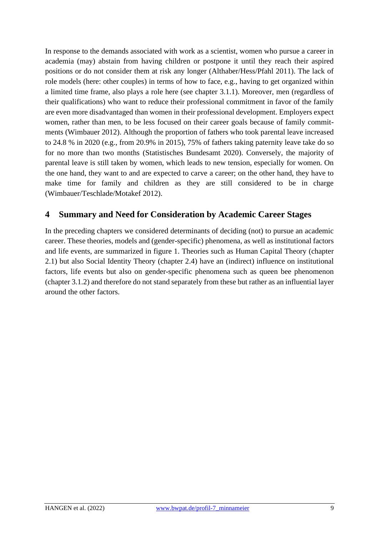In response to the demands associated with work as a scientist, women who pursue a career in academia (may) abstain from having children or postpone it until they reach their aspired positions or do not consider them at risk any longer (Althaber/Hess/Pfahl 2011). The lack of role models (here: other couples) in terms of how to face, e.g., having to get organized within a limited time frame, also plays a role here (see chapter 3.1.1). Moreover, men (regardless of their qualifications) who want to reduce their professional commitment in favor of the family are even more disadvantaged than women in their professional development. Employers expect women, rather than men, to be less focused on their career goals because of family commitments (Wimbauer 2012). Although the proportion of fathers who took parental leave increased to 24.8 % in 2020 (e.g., from 20.9% in 2015), 75% of fathers taking paternity leave take do so for no more than two months (Statistisches Bundesamt 2020). Conversely, the majority of parental leave is still taken by women, which leads to new tension, especially for women. On the one hand, they want to and are expected to carve a career; on the other hand, they have to make time for family and children as they are still considered to be in charge (Wimbauer/Teschlade/Motakef 2012).

### **4 Summary and Need for Consideration by Academic Career Stages**

In the preceding chapters we considered determinants of deciding (not) to pursue an academic career. These theories, models and (gender-specific) phenomena, as well as institutional factors and life events, are summarized in figure 1. Theories such as Human Capital Theory (chapter 2.1) but also Social Identity Theory (chapter 2.4) have an (indirect) influence on institutional factors, life events but also on gender-specific phenomena such as queen bee phenomenon (chapter 3.1.2) and therefore do not stand separately from these but rather as an influential layer around the other factors.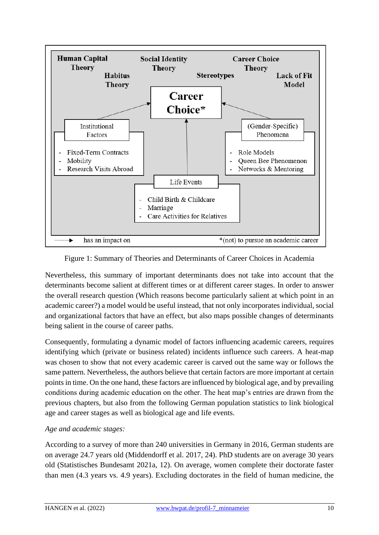

Figure 1: Summary of Theories and Determinants of Career Choices in Academia

Nevertheless, this summary of important determinants does not take into account that the determinants become salient at different times or at different career stages. In order to answer the overall research question (Which reasons become particularly salient at which point in an academic career?) a model would be useful instead, that not only incorporates individual, social and organizational factors that have an effect, but also maps possible changes of determinants being salient in the course of career paths.

Consequently, formulating a dynamic model of factors influencing academic careers, requires identifying which (private or business related) incidents influence such careers. A heat-map was chosen to show that not every academic career is carved out the same way or follows the same pattern. Nevertheless, the authors believe that certain factors are more important at certain points in time. On the one hand, these factors are influenced by biological age, and by prevailing conditions during academic education on the other. The heat map's entries are drawn from the previous chapters, but also from the following German population statistics to link biological age and career stages as well as biological age and life events.

#### *Age and academic stages:*

According to a survey of more than 240 universities in Germany in 2016, German students are on average 24.7 years old (Middendorff et al. 2017, 24). PhD students are on average 30 years old (Statistisches Bundesamt 2021a, 12). On average, women complete their doctorate faster than men (4.3 years vs. 4.9 years). Excluding doctorates in the field of human medicine, the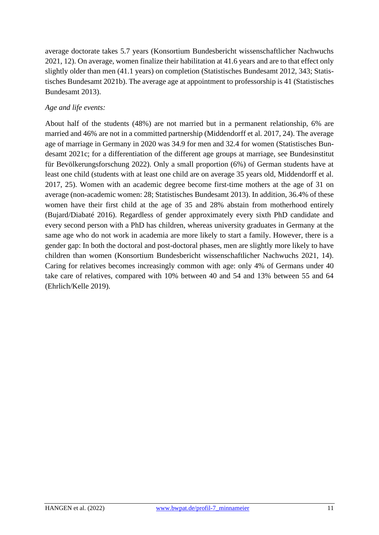average doctorate takes 5.7 years (Konsortium Bundesbericht wissenschaftlicher Nachwuchs 2021, 12). On average, women finalize their habilitation at 41.6 years and are to that effect only slightly older than men (41.1 years) on completion (Statistisches Bundesamt 2012, 343; Statistisches Bundesamt 2021b). The average age at appointment to professorship is 41 (Statistisches Bundesamt 2013).

#### *Age and life events:*

About half of the students (48%) are not married but in a permanent relationship, 6% are married and 46% are not in a committed partnership (Middendorff et al. 2017, 24). The average age of marriage in Germany in 2020 was 34.9 for men and 32.4 for women (Statistisches Bundesamt 2021c; for a differentiation of the different age groups at marriage, see Bundesinstitut für Bevölkerungsforschung 2022). Only a small proportion (6%) of German students have at least one child (students with at least one child are on average 35 years old, Middendorff et al. 2017, 25). Women with an academic degree become first-time mothers at the age of 31 on average (non-academic women: 28; Statistisches Bundesamt 2013). In addition, 36.4% of these women have their first child at the age of 35 and 28% abstain from motherhood entirely (Bujard/Diabaté 2016). Regardless of gender approximately every sixth PhD candidate and every second person with a PhD has children, whereas university graduates in Germany at the same age who do not work in academia are more likely to start a family. However, there is a gender gap: In both the doctoral and post-doctoral phases, men are slightly more likely to have children than women (Konsortium Bundesbericht wissenschaftlicher Nachwuchs 2021, 14). Caring for relatives becomes increasingly common with age: only 4% of Germans under 40 take care of relatives, compared with 10% between 40 and 54 and 13% between 55 and 64 (Ehrlich/Kelle 2019).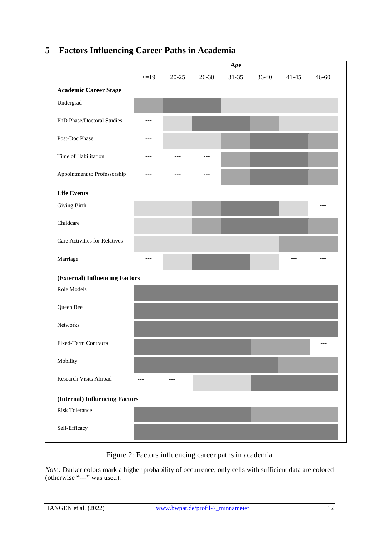# **5 Factors Influencing Career Paths in Academia**

| r actors minucineing           |            | Career 1 amp in ricademia |           |           |         |           |           |
|--------------------------------|------------|---------------------------|-----------|-----------|---------|-----------|-----------|
|                                | Age        |                           |           |           |         |           |           |
|                                | $\leq$ =19 | $20 - 25$                 | $26 - 30$ | $31 - 35$ | $36-40$ | $41 - 45$ | $46 - 60$ |
| <b>Academic Career Stage</b>   |            |                           |           |           |         |           |           |
| Undergrad                      |            |                           |           |           |         |           |           |
|                                |            |                           |           |           |         |           |           |
| PhD Phase/Doctoral Studies     | ---        |                           |           |           |         |           |           |
| Post-Doc Phase                 | $---$      |                           |           |           |         |           |           |
|                                |            |                           |           |           |         |           |           |
| Time of Habilitation           | $---$      |                           | $---$     |           |         |           |           |
| Appointment to Professorship   | $---$      |                           |           |           |         |           |           |
|                                |            |                           |           |           |         |           |           |
| <b>Life Events</b>             |            |                           |           |           |         |           |           |
| <b>Giving Birth</b>            |            |                           |           |           |         |           |           |
| Childcare                      |            |                           |           |           |         |           |           |
|                                |            |                           |           |           |         |           |           |
| Care Activities for Relatives  |            |                           |           |           |         |           |           |
| Marriage                       | $- - -$    |                           |           |           |         | ---       |           |
|                                |            |                           |           |           |         |           |           |
| (External) Influencing Factors |            |                           |           |           |         |           |           |
| Role Models                    |            |                           |           |           |         |           |           |
| Queen Bee                      |            |                           |           |           |         |           |           |
|                                |            |                           |           |           |         |           |           |
| Networks                       |            |                           |           |           |         |           |           |
| <b>Fixed-Term Contracts</b>    |            |                           |           |           |         |           | ---       |
|                                |            |                           |           |           |         |           |           |
| Mobility                       |            |                           |           |           |         |           |           |
| Research Visits Abroad         | $ -$       | ---                       |           |           |         |           |           |
|                                |            |                           |           |           |         |           |           |
| (Internal) Influencing Factors |            |                           |           |           |         |           |           |
| <b>Risk Tolerance</b>          |            |                           |           |           |         |           |           |
| Self-Efficacy                  |            |                           |           |           |         |           |           |
|                                |            |                           |           |           |         |           |           |

Figure 2: Factors influencing career paths in academia

*Note:* Darker colors mark a higher probability of occurrence, only cells with sufficient data are colored (otherwise "---" was used).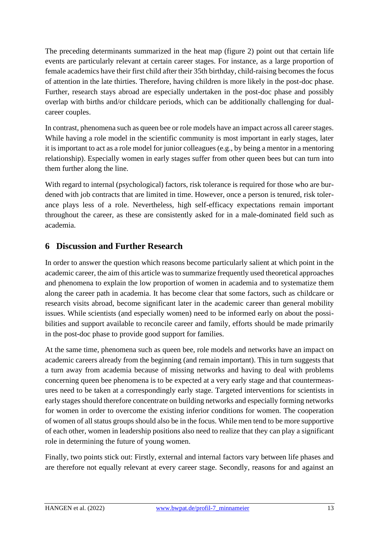The preceding determinants summarized in the heat map (figure 2) point out that certain life events are particularly relevant at certain career stages. For instance, as a large proportion of female academics have their first child after their 35th birthday, child-raising becomes the focus of attention in the late thirties. Therefore, having children is more likely in the post-doc phase. Further, research stays abroad are especially undertaken in the post-doc phase and possibly overlap with births and/or childcare periods, which can be additionally challenging for dualcareer couples.

In contrast, phenomena such as queen bee or role models have an impact across all career stages. While having a role model in the scientific community is most important in early stages, later it is important to act as a role model for junior colleagues (e.g., by being a mentor in a mentoring relationship). Especially women in early stages suffer from other queen bees but can turn into them further along the line.

With regard to internal (psychological) factors, risk tolerance is required for those who are burdened with job contracts that are limited in time. However, once a person is tenured, risk tolerance plays less of a role. Nevertheless, high self-efficacy expectations remain important throughout the career, as these are consistently asked for in a male-dominated field such as academia.

### **6 Discussion and Further Research**

In order to answer the question which reasons become particularly salient at which point in the academic career, the aim of this article was to summarize frequently used theoretical approaches and phenomena to explain the low proportion of women in academia and to systematize them along the career path in academia. It has become clear that some factors, such as childcare or research visits abroad, become significant later in the academic career than general mobility issues. While scientists (and especially women) need to be informed early on about the possibilities and support available to reconcile career and family, efforts should be made primarily in the post-doc phase to provide good support for families.

At the same time, phenomena such as queen bee, role models and networks have an impact on academic careers already from the beginning (and remain important). This in turn suggests that a turn away from academia because of missing networks and having to deal with problems concerning queen bee phenomena is to be expected at a very early stage and that countermeasures need to be taken at a correspondingly early stage. Targeted interventions for scientists in early stages should therefore concentrate on building networks and especially forming networks for women in order to overcome the existing inferior conditions for women. The cooperation of women of all status groups should also be in the focus. While men tend to be more supportive of each other, women in leadership positions also need to realize that they can play a significant role in determining the future of young women.

Finally, two points stick out: Firstly, external and internal factors vary between life phases and are therefore not equally relevant at every career stage. Secondly, reasons for and against an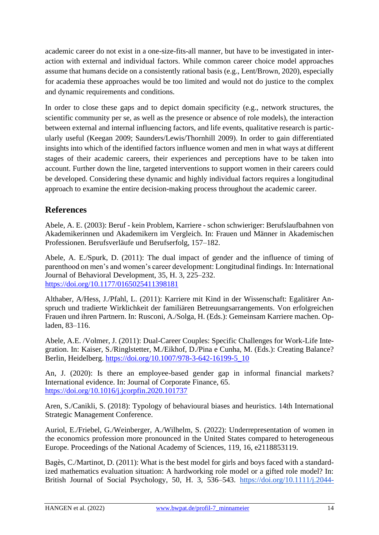academic career do not exist in a one-size-fits-all manner, but have to be investigated in interaction with external and individual factors. While common career choice model approaches assume that humans decide on a consistently rational basis (e.g., Lent/Brown, 2020), especially for academia these approaches would be too limited and would not do justice to the complex and dynamic requirements and conditions.

In order to close these gaps and to depict domain specificity (e.g., network structures, the scientific community per se, as well as the presence or absence of role models), the interaction between external and internal influencing factors, and life events, qualitative research is particularly useful (Keegan 2009; Saunders/Lewis/Thornhill 2009). In order to gain differentiated insights into which of the identified factors influence women and men in what ways at different stages of their academic careers, their experiences and perceptions have to be taken into account. Further down the line, targeted interventions to support women in their careers could be developed. Considering these dynamic and highly individual factors requires a longitudinal approach to examine the entire decision-making process throughout the academic career.

### **References**

Abele, A. E. (2003): Beruf - kein Problem, Karriere - schon schwieriger: Berufslaufbahnen von Akademikerinnen und Akademikern im Vergleich. In: Frauen und Männer in Akademischen Professionen. Berufsverläufe und Berufserfolg, 157–182.

Abele, A. E./Spurk, D. (2011): The dual impact of gender and the influence of timing of parenthood on men's and women's career development: Longitudinal findings. In: International Journal of Behavioral Development, 35, H. 3, 225–232. <https://doi.org/10.1177/0165025411398181>

Althaber, A/Hess, J./Pfahl, L. (2011): Karriere mit Kind in der Wissenschaft: Egalitärer Anspruch und tradierte Wirklichkeit der familiären Betreuungsarrangements. Von erfolgreichen Frauen und ihren Partnern. In: Rusconi, A./Solga, H. (Eds.): Gemeinsam Karriere machen. Opladen, 83–116.

Abele, A.E. /Volmer, J. (2011): Dual-Career Couples: Specific Challenges for Work-Life Integration. In: Kaiser, S./Ringlstetter, M./Eikhof, D./Pina e Cunha, M. (Eds.): Creating Balance? Berlin, Heidelberg. [https://doi.org/10.1007/978-3-642-16199-5\\_10](https://doi.org/10.1007/978-3-642-16199-5_10)

An, J. (2020): Is there an employee-based gender gap in informal financial markets? International evidence. In: Journal of Corporate Finance, 65. <https://doi.org/10.1016/j.jcorpfin.2020.101737>

Aren, S./Canikli, S. (2018): Typology of behavioural biases and heuristics. 14th International Strategic Management Conference.

Auriol, E./Friebel, G./Weinberger, A./Wilhelm, S. (2022): Underrepresentation of women in the economics profession more pronounced in the United States compared to heterogeneous Europe. Proceedings of the National Academy of Sciences, 119, 16, e2118853119.

Bagès, C./Martinot, D. (2011): What is the best model for girls and boys faced with a standardized mathematics evaluation situation: A hardworking role model or a gifted role model? In: British Journal of Social Psychology, 50, H. 3, 536–543. [https://doi.org/10.1111/j.2044-](https://doi.org/10.1111/j.2044-8309.2010.02017.x)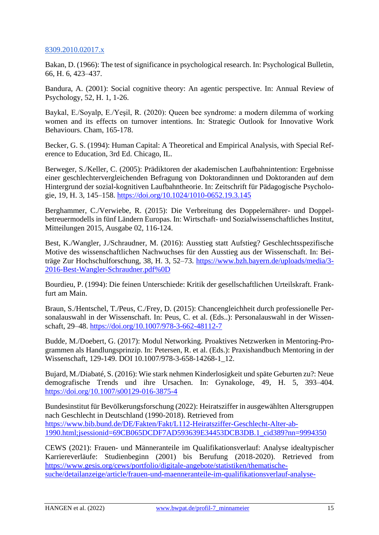#### [8309.2010.02017.x](https://doi.org/10.1111/j.2044-8309.2010.02017.x)

Bakan, D. (1966): The test of significance in psychological research. In: Psychological Bulletin, 66, H. 6, 423–437.

Bandura, A. (2001): Social cognitive theory: An agentic perspective. In: Annual Review of Psychology, 52, H. 1, 1-26.

Baykal, E./Soyalp, E./Yeşil, R. (2020): Queen bee syndrome: a modern dilemma of working women and its effects on turnover intentions. In: Strategic Outlook for Innovative Work Behaviours. Cham, 165-178.

Becker, G. S. (1994): Human Capital: A Theoretical and Empirical Analysis, with Special Reference to Education, 3rd Ed. Chicago, IL.

Berweger, S./Keller, C. (2005): Prädiktoren der akademischen Laufbahnintention: Ergebnisse einer geschlechtervergleichenden Befragung von Doktorandinnen und Doktoranden auf dem Hintergrund der sozial-kognitiven Laufbahntheorie. In: Zeitschrift für Pädagogische Psychologie, 19, H. 3, 145–158.<https://doi.org/10.1024/1010-0652.19.3.145>

Berghammer, C./Verwiebe, R. (2015): Die Verbreitung des Doppelernährer- und Doppelbetreuermodells in fünf Ländern Europas. In: Wirtschaft- und Sozialwissenschaftliches Institut, Mitteilungen 2015, Ausgabe 02, 116-124.

Best, K./Wangler, J./Schraudner, M. (2016): Ausstieg statt Aufstieg? Geschlechtsspezifische Motive des wissenschaftlichen Nachwuchses für den Ausstieg aus der Wissenschaft. In: Beiträge Zur Hochschulforschung, 38, H. 3, 52–73. [https://www.bzh.bayern.de/uploads/media/3-](https://www.bzh.bayern.de/uploads/media/3-2016-Best-Wangler-Schraudner.pdf%0D) [2016-Best-Wangler-Schraudner.pdf%0D](https://www.bzh.bayern.de/uploads/media/3-2016-Best-Wangler-Schraudner.pdf%0D)

Bourdieu, P. (1994): Die feinen Unterschiede: Kritik der gesellschaftlichen Urteilskraft. Frankfurt am Main.

Braun, S./Hentschel, T./Peus, C./Frey, D. (2015): Chancengleichheit durch professionelle Personalauswahl in der Wissenschaft. In: Peus, C. et al. (Eds..): Personalauswahl in der Wissenschaft, 29–48.<https://doi.org/10.1007/978-3-662-48112-7>

Budde, M./Doebert, G. (2017): Modul Networking. Proaktives Netzwerken in Mentoring-Programmen als Handlungsprinzip. In: Petersen, R. et al. (Eds.): Praxishandbuch Mentoring in der Wissenschaft, 129-149. DOI 10.1007/978-3-658-14268-1 12.

Bujard, M./Diabaté, S. (2016): Wie stark nehmen Kinderlosigkeit und späte Geburten zu?: Neue demografische Trends und ihre Ursachen. In: Gynakologe, 49, H. 5, 393–404. <https://doi.org/10.1007/s00129-016-3875-4>

Bundesinstitut für Bevölkerungsforschung (2022): Heiratsziffer in ausgewählten Altersgruppen nach Geschlecht in Deutschland (1990-2018). Retrieved from [https://www.bib.bund.de/DE/Fakten/Fakt/L112-Heiratsziffer-Geschlecht-Alter-ab-](https://www.bib.bund.de/DE/Fakten/Fakt/L112-Heiratsziffer-Geschlecht-Alter-ab-1990.html;jsessionid=69CB065DCDF7AD593639E34453DCB3DB.1_cid389?nn=9994350)[1990.html;jsessionid=69CB065DCDF7AD593639E34453DCB3DB.1\\_cid389?nn=9994350](https://www.bib.bund.de/DE/Fakten/Fakt/L112-Heiratsziffer-Geschlecht-Alter-ab-1990.html;jsessionid=69CB065DCDF7AD593639E34453DCB3DB.1_cid389?nn=9994350)

CEWS (2021): Frauen- und Männeranteile im Qualifikationsverlauf: Analyse idealtypischer Karriereverläufe: Studienbeginn (2001) bis Berufung (2018-2020). Retrieved from [https://www.gesis.org/cews/portfolio/digitale-angebote/statistiken/thematische](https://www.gesis.org/cews/portfolio/digitale-angebote/statistiken/thematische-suche/detailanzeige/article/frauen-und-maenneranteile-im-qualifikationsverlauf-analyse-idealtypischer-karriereverlaeufe-studienbeginn-bis-berufung)[suche/detailanzeige/article/frauen-und-maenneranteile-im-qualifikationsverlauf-analyse-](https://www.gesis.org/cews/portfolio/digitale-angebote/statistiken/thematische-suche/detailanzeige/article/frauen-und-maenneranteile-im-qualifikationsverlauf-analyse-idealtypischer-karriereverlaeufe-studienbeginn-bis-berufung)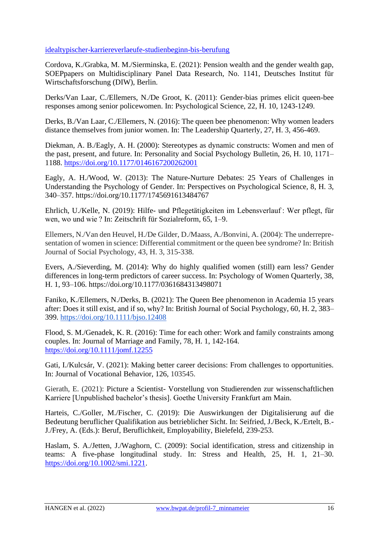#### [idealtypischer-karriereverlaeufe-studienbeginn-bis-berufung](https://www.gesis.org/cews/portfolio/digitale-angebote/statistiken/thematische-suche/detailanzeige/article/frauen-und-maenneranteile-im-qualifikationsverlauf-analyse-idealtypischer-karriereverlaeufe-studienbeginn-bis-berufung)

Cordova, K./Grabka, M. M./Sierminska, E. (2021): Pension wealth and the gender wealth gap, SOEPpapers on Multidisciplinary Panel Data Research, No. 1141, Deutsches Institut für Wirtschaftsforschung (DIW), Berlin.

Derks/Van Laar, C./Ellemers, N./De Groot, K. (2011): Gender-bias primes elicit queen-bee responses among senior policewomen. In: Psychological Science, 22, H. 10, 1243-1249.

Derks, B./Van Laar, C./Ellemers, N. (2016): The queen bee phenomenon: Why women leaders distance themselves from junior women. In: The Leadership Quarterly, 27, H. 3, 456-469.

Diekman, A. B./Eagly, A. H. (2000): Stereotypes as dynamic constructs: Women and men of the past, present, and future. In: Personality and Social Psychology Bulletin, 26, H. 10, 1171– 1188.<https://doi.org/10.1177/0146167200262001>

Eagly, A. H./Wood, W. (2013): The Nature-Nurture Debates: 25 Years of Challenges in Understanding the Psychology of Gender. In: Perspectives on Psychological Science, 8, H. 3, 340–357. https://doi.org/10.1177/1745691613484767

Ehrlich, U./Kelle, N. (2019): Hilfe- und Pflegetätigkeiten im Lebensverlauf : Wer pflegt, für wen, wo und wie ? In: Zeitschrift für Sozialreform, 65, 1–9.

Ellemers, N./Van den Heuvel, H./De Gilder, D./Maass, A./Bonvini, A. (2004): The underrepresentation of women in science: Differential commitment or the queen bee syndrome? In: British Journal of Social Psychology, 43, H. 3, 315-338.

Evers, A./Sieverding, M. (2014): Why do highly qualified women (still) earn less? Gender differences in long-term predictors of career success. In: Psychology of Women Quarterly, 38, H. 1, 93–106.<https://doi.org/10.1177/0361684313498071>

Faniko, K./Ellemers, N./Derks, B. (2021): The Queen Bee phenomenon in Academia 15 years after: Does it still exist, and if so, why? In: British Journal of Social Psychology, 60, H. 2, 383– 399.<https://doi.org/10.1111/bjso.12408>

Flood, S. M./Genadek, K. R. (2016): Time for each other: Work and family constraints among couples. In: Journal of Marriage and Family, 78, H. 1, 142-164. <https://doi.org/10.1111/jomf.12255>

Gati, I./Kulcsár, V. (2021): Making better career decisions: From challenges to opportunities. In: Journal of Vocational Behavior, 126, 103545.

Gierath, E. (2021): Picture a Scientist- Vorstellung von Studierenden zur wissenschaftlichen Karriere [Unpublished bachelor's thesis]. Goethe University Frankfurt am Main.

Harteis, C./Goller, M./Fischer, C. (2019): Die Auswirkungen der Digitalisierung auf die Bedeutung beruflicher Qualifikation aus betrieblicher Sicht. In: Seifried, J./Beck, K./Ertelt, B.- J./Frey, A. (Eds.): Beruf, Beruflichkeit, Employability, Bielefeld, 239-253.

Haslam, S. A./Jetten, J./Waghorn, C. (2009): Social identification, stress and citizenship in teams: A five-phase longitudinal study. In: Stress and Health, 25, H. 1, 21–30. [https://doi.org/10.1002/smi.1221.](https://doi.org/10.1002/smi.1221)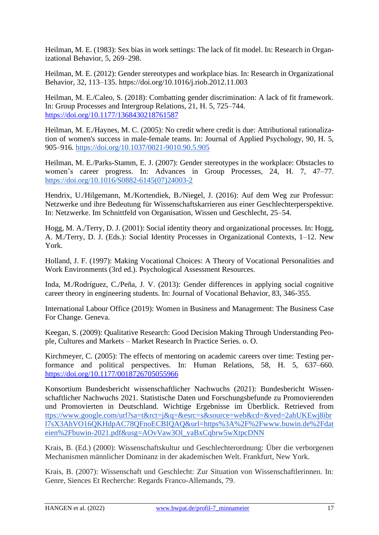Heilman, M. E. (1983): Sex bias in work settings: The lack of fit model. In: Research in Organizational Behavior, 5, 269–298.

Heilman, M. E. (2012): Gender stereotypes and workplace bias. In: Research in Organizational Behavior, 32, 113–135. https://doi.org/10.1016/j.riob.2012.11.003

Heilman, M. E./Caleo, S. (2018): Combatting gender discrimination: A lack of fit framework. In: Group Processes and Intergroup Relations, 21, H. 5, 725–744. <https://doi.org/10.1177/1368430218761587>

Heilman, M. E./Haynes, M. C. (2005): No credit where credit is due: Attributional rationalization of women's success in male-female teams. In: Journal of Applied Psychology, 90, H. 5, 905–916. [https://doi.org/10.1037/0021-9010.90.5.905](https://psycnet.apa.org/doi/10.1037/0021-9010.90.5.905)

Heilman, M. E./Parks-Stamm, E. J. (2007): Gender stereotypes in the workplace: Obstacles to women's career progress. In: Advances in Group Processes, 24, H. 7, 47–77. [https://doi.org/10.1016/S0882-6145\(07\)24003-2](https://doi.org/10.1016/S0882-6145(07)24003-2)

Hendrix, U./Hilgemann, M./Kortendiek, B./Niegel, J. (2016): Auf dem Weg zur Professur: Netzwerke und ihre Bedeutung für Wissenschaftskarrieren aus einer Geschlechterperspektive. In: Netzwerke. Im Schnittfeld von Organisation, Wissen und Geschlecht, 25–54.

Hogg, M. A./Terry, D. J. (2001): Social identity theory and organizational processes. In: Hogg, A. M./Terry, D. J. (Eds.): Social Identity Processes in Organizational Contexts, 1–12. New York.

Holland, J. F. (1997): Making Vocational Choices: A Theory of Vocational Personalities and Work Environments (3rd ed.). Psychological Assessment Resources.

Inda, M./Rodríguez, C./Peña, J. V. (2013): Gender differences in applying social cognitive career theory in engineering students. In: Journal of Vocational Behavior, 83, 346-355.

International Labour Office (2019): Women in Business and Management: The Business Case For Change. Geneva.

Keegan, S. (2009): Qualitative Research: Good Decision Making Through Understanding People, Cultures and Markets – Market Research In Practice Series. o. O.

Kirchmeyer, C. (2005): The effects of mentoring on academic careers over time: Testing performance and political perspectives. In: Human Relations, 58, H. 5, 637–660. <https://doi.org/10.1177/0018726705055966>

Konsortium Bundesbericht wissenschaftlicher Nachwuchs (2021): Bundesbericht Wissenschaftlicher Nachwuchs 2021. Statistische Daten und Forschungsbefunde zu Promovierenden und Promovierten in Deutschland. Wichtige Ergebnisse im Überblick. Retrieved from ttps://www.google.com/url?sa=t&rct=j&q=&esrc=s&source=web&cd=&ved=2ahUKEwj8ibr l7sX3AhVO16QKHdpAC78QFnoECBIQAQ&url=https%3A%2F%2Fwww.buwin.de%2Fdat eien%2Fbuwin-2021.pdf&usg=AOvVaw3Ol\_yaBxCqbrw5wXtpcDNN

Krais, B. (Ed.) (2000): Wissenschaftskultur und Geschlechterordnung: Über die verborgenen Mechanismen männlicher Dominanz in der akademischen Welt. Frankfurt, New York.

Krais, B. (2007): Wissenschaft und Geschlecht: Zur Situation von Wissenschaftlerinnen. In: Genre, Siences Et Recherche: Regards Franco-Allemands, 79.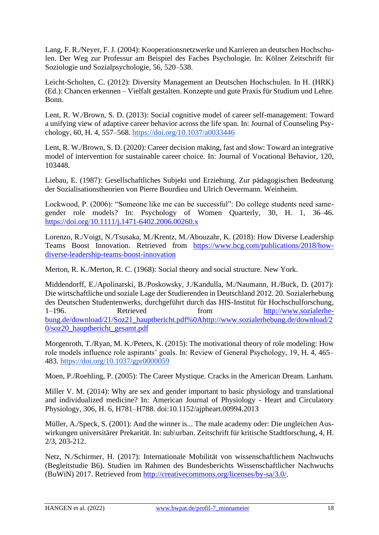Lang, F. R./Neyer, F. J. (2004): Kooperationsnetzwerke und Karrieren an deutschen Hochschulen. Der Weg zur Professur am Beispiel des Faches Psychologie. In: Kölner Zeitschrift für Soziologie und Sozialpsychologie, 56, 520–538.

Leicht-Scholten, C. (2012): Diversity Management an Deutschen Hochschulen. In H. (HRK) (Ed.): Chancen erkennen – Vielfalt gestalten. Konzepte und gute Praxis für Studium und Lehre. Bonn.

Lent, R. W./Brown, S. D. (2013): Social cognitive model of career self-management: Toward a unifying view of adaptive career behavior across the life span. In: Journal of Counseling Psychology, 60, H. 4, 557–568.<https://doi.org/10.1037/a0033446>

Lent, R. W./Brown, S. D. (2020): Career decision making, fast and slow: Toward an integrative model of intervention for sustainable career choice. In: Journal of Vocational Behavior, 120, 103448.

Liebau, E. (1987): Gesellschaftliches Subjekt und Erziehung. Zur pädagogischen Bedeutung der Sozialisationstheorien von Pierre Bourdieu und Ulrich Oevermann. Weinheim.

Lockwood, P. (2006): "Someone like me can be successful": Do college students need samegender role models? In: Psychology of Women Quarterly, 30, H. 1, 36–46. <https://doi.org/10.1111/j.1471-6402.2006.00260.x>

Lorenzo, R./Voigt, N./Tsusaka, M./Krentz, M./Abouzahr, K. (2018): How Diverse Leadership Teams Boost Innovation. Retrieved from [https://www.bcg.com/publications/2018/how](https://www.bcg.com/publications/2018/how-diverse-leadership-teams-boost-innovation)[diverse-leadership-teams-boost-innovation](https://www.bcg.com/publications/2018/how-diverse-leadership-teams-boost-innovation)

Merton, R. K./Merton, R. C. (1968): Social theory and social structure. New York.

Middendorff, E./Apolinarski, B./Poskowsky, J./Kandulla, M./Naumann, H./Buck, D. (2017): Die wirtschaftliche und soziale Lage der Studierenden in Deutschland 2012. 20. Sozialerhebung des Deutschen Studentenwerks, durchgeführt durch das HIS-Institut für Hochschulforschung, 1–196. Retrieved from http://www.sozialerhebung.de/download/21/Soz21\_hauptbericht.pdf%0Ahttp://www.sozialerhebung.de/download/2 0/soz20\_hauptbericht\_gesamt.pdf

Morgenroth, T./Ryan, M. K./Peters, K. (2015): The motivational theory of role modeling: How role models influence role aspirants' goals. In: Review of General Psychology, 19, H. 4, 465– 483.<https://doi.org/10.1037/gpr0000059>

Moen, P./Roehling, P. (2005): The Career Mystique. Cracks in the American Dream. Lanham.

Miller V. M. (2014): Why are sex and gender important to basic physiology and translational and individualized medicine? In: American Journal of Physiology - Heart and Circulatory Physiology, 306, H. 6, H781–H788. doi:10.1152/ajpheart.00994.2013

Müller, A./Speck, S. (2001): And the winner is... The male academy oder: Die ungleichen Auswirkungen universitärer Prekarität. In: sub\urban. Zeitschrift für kritische Stadtforschung, 4, H. 2/3, 203-212.

Netz, N./Schirmer, H. (2017): Internationale Mobilität von wissenschaftlichem Nachwuchs (Begleitstudie B6). Studien im Rahmen des Bundesberichts Wissenschaftlicher Nachwuchs (BuWiN) 2017. Retrieved from [http://creativecommons.org/licenses/by-sa/3.0/.](http://creativecommons.org/licenses/by-sa/3.0/)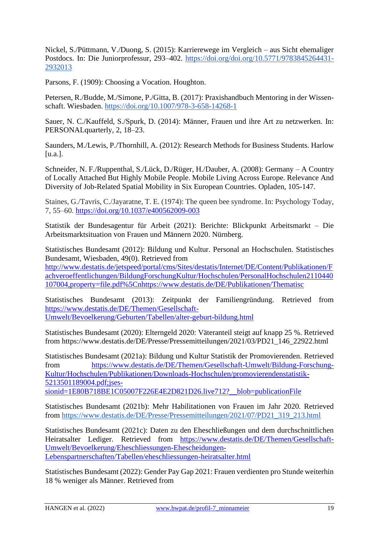Nickel, S./Püttmann, V./Duong, S. (2015): Karrierewege im Vergleich – aus Sicht ehemaliger Postdocs. In: Die Juniorprofessur, 293–402. [https://doi.org/doi.org/10.5771/9783845264431-](https://doi.org/doi.org/10.5771/9783845264431-2932013) [2932013](https://doi.org/doi.org/10.5771/9783845264431-2932013)

Parsons, F. (1909): Choosing a Vocation. Houghton.

Petersen, R./Budde, M./Simone, P./Gitta, B. (2017): Praxishandbuch Mentoring in der Wissenschaft. Wiesbaden. <https://doi.org/10.1007/978-3-658-14268-1>

Sauer, N. C./Kauffeld, S./Spurk, D. (2014): Männer, Frauen und ihre Art zu netzwerken. In: PERSONALquarterly, 2, 18–23.

Saunders, M./Lewis, P./Thornhill, A. (2012): Research Methods for Business Students. Harlow [u.a.].

Schneider, N. F./Ruppenthal, S./Lück, D./Rüger, H./Dauber, A. (2008): Germany – A Country of Locally Attached But Highly Mobile People. Mobile Living Across Europe. Relevance And Diversity of Job-Related Spatial Mobility in Six European Countries. Opladen, 105-147.

Staines, G./Tavris, C./Jayaratne, T. E. (1974): The queen bee syndrome. In: Psychology Today, 7, 55–60.<https://doi.org/10.1037/e400562009-003>

Statistik der Bundesagentur für Arbeit (2021): Berichte: Blickpunkt Arbeitsmarkt – Die Arbeitsmarktsituation von Frauen und Männern 2020. Nürnberg.

Statistisches Bundesamt (2012): Bildung und Kultur. Personal an Hochschulen. Statistisches Bundesamt, Wiesbaden, 49(0). Retrieved from

[http://www.destatis.de/jetspeed/portal/cms/Sites/destatis/Internet/DE/Content/Publikationen/F](http://www.destatis.de/jetspeed/portal/cms/Sites/destatis/Internet/DE/Content/Publikationen/Fachveroeffentlichungen/BildungForschungKultur/Hochschulen/PersonalHochschulen2110440107004,property=file.pdf%5Cnhttps:/www.destatis.de/DE/Publikationen/Thematisc) [achveroeffentlichungen/BildungForschungKultur/Hochschulen/PersonalHochschulen2110440](http://www.destatis.de/jetspeed/portal/cms/Sites/destatis/Internet/DE/Content/Publikationen/Fachveroeffentlichungen/BildungForschungKultur/Hochschulen/PersonalHochschulen2110440107004,property=file.pdf%5Cnhttps:/www.destatis.de/DE/Publikationen/Thematisc) [107004,property=file.pdf%5Cnhttps://www.destatis.de/DE/Publikationen/Thematisc](http://www.destatis.de/jetspeed/portal/cms/Sites/destatis/Internet/DE/Content/Publikationen/Fachveroeffentlichungen/BildungForschungKultur/Hochschulen/PersonalHochschulen2110440107004,property=file.pdf%5Cnhttps:/www.destatis.de/DE/Publikationen/Thematisc)

Statistisches Bundesamt (2013): Zeitpunkt der Familiengründung. Retrieved from [https://www.destatis.de/DE/Themen/Gesellschaft-](https://www.destatis.de/DE/Themen/Gesellschaft-Umwelt/Bevoelkerung/Geburten/Tabellen/alter-geburt-bildung.html)[Umwelt/Bevoelkerung/Geburten/Tabellen/alter-geburt-bildung.html](https://www.destatis.de/DE/Themen/Gesellschaft-Umwelt/Bevoelkerung/Geburten/Tabellen/alter-geburt-bildung.html)

Statistisches Bundesamt (2020): Elterngeld 2020: Väteranteil steigt auf knapp 25 %. Retrieved from https://www.destatis.de/DE/Presse/Pressemitteilungen/2021/03/PD21\_146\_22922.html

Statistisches Bundesamt (2021a): Bildung und Kultur Statistik der Promovierenden. Retrieved from [https://www.destatis.de/DE/Themen/Gesellschaft-Umwelt/Bildung-Forschung-](https://www.destatis.de/DE/Themen/Gesellschaft-Umwelt/Bildung-Forschung-Kultur/Hochschulen/Publikationen/Downloads-Hochschulen/promovierendenstatistik-5213501189004.pdf;jsessionid=1E80B718BE1C05007F226E4E2D821D26.live712?__blob=publicationFile)[Kultur/Hochschulen/Publikationen/Downloads-Hochschulen/promovierendenstatistik-](https://www.destatis.de/DE/Themen/Gesellschaft-Umwelt/Bildung-Forschung-Kultur/Hochschulen/Publikationen/Downloads-Hochschulen/promovierendenstatistik-5213501189004.pdf;jsessionid=1E80B718BE1C05007F226E4E2D821D26.live712?__blob=publicationFile)[5213501189004.pdf;jses](https://www.destatis.de/DE/Themen/Gesellschaft-Umwelt/Bildung-Forschung-Kultur/Hochschulen/Publikationen/Downloads-Hochschulen/promovierendenstatistik-5213501189004.pdf;jsessionid=1E80B718BE1C05007F226E4E2D821D26.live712?__blob=publicationFile)[sionid=1E80B718BE1C05007F226E4E2D821D26.live712?\\_\\_blob=publicationFile](https://www.destatis.de/DE/Themen/Gesellschaft-Umwelt/Bildung-Forschung-Kultur/Hochschulen/Publikationen/Downloads-Hochschulen/promovierendenstatistik-5213501189004.pdf;jsessionid=1E80B718BE1C05007F226E4E2D821D26.live712?__blob=publicationFile)

Statistisches Bundesamt (2021b): Mehr Habilitationen von Frauen im Jahr 2020. Retrieved from [https://www.destatis.de/DE/Presse/Pressemitteilungen/2021/07/PD21\\_319\\_213.html](https://www.destatis.de/DE/Presse/Pressemitteilungen/2021/07/PD21_319_213.html)

Statistisches Bundesamt (2021c): Daten zu den Eheschließungen und dem durchschnittlichen Heiratsalter Lediger. Retrieved from [https://www.destatis.de/DE/Themen/Gesellschaft-](https://www.destatis.de/DE/Themen/Gesellschaft-Umwelt/Bevoelkerung/Eheschliessungen-Ehescheidungen-Lebenspartnerschaften/Tabellen/eheschliessungen-heiratsalter.html)[Umwelt/Bevoelkerung/Eheschliessungen-Ehescheidungen-](https://www.destatis.de/DE/Themen/Gesellschaft-Umwelt/Bevoelkerung/Eheschliessungen-Ehescheidungen-Lebenspartnerschaften/Tabellen/eheschliessungen-heiratsalter.html)[Lebenspartnerschaften/Tabellen/eheschliessungen-heiratsalter.html](https://www.destatis.de/DE/Themen/Gesellschaft-Umwelt/Bevoelkerung/Eheschliessungen-Ehescheidungen-Lebenspartnerschaften/Tabellen/eheschliessungen-heiratsalter.html)

Statistisches Bundesamt (2022): Gender Pay Gap 2021: Frauen verdienten pro Stunde weiterhin 18 % weniger als Männer. Retrieved from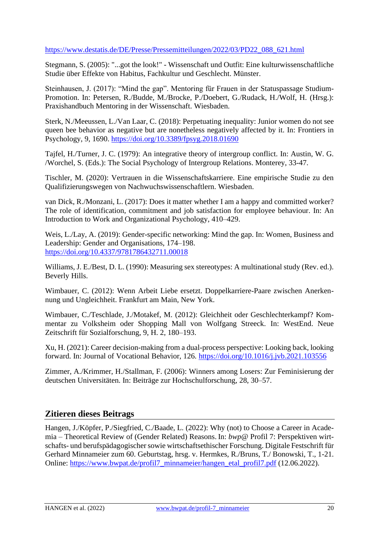#### [https://www.destatis.de/DE/Presse/Pressemitteilungen/2022/03/PD22\\_088\\_621.html](https://www.destatis.de/DE/Presse/Pressemitteilungen/2022/03/PD22_088_621.html)

Stegmann, S. (2005): "...got the look!" - Wissenschaft und Outfit: Eine kulturwissenschaftliche Studie über Effekte von Habitus, Fachkultur und Geschlecht. Münster.

Steinhausen, J. (2017): "Mind the gap". Mentoring für Frauen in der Statuspassage Studium-Promotion. In: Petersen, R./Budde, M./Brocke, P./Doebert, G./Rudack, H./Wolf, H. (Hrsg.): Praxishandbuch Mentoring in der Wissenschaft. Wiesbaden.

Sterk, N./Meeussen, L./Van Laar, C. (2018): Perpetuating inequality: Junior women do not see queen bee behavior as negative but are nonetheless negatively affected by it. In: Frontiers in Psychology, 9, 1690.<https://doi.org/10.3389/fpsyg.2018.01690>

Tajfel, H./Turner, J. C. (1979): An integrative theory of intergroup conflict. In: Austin, W. G. /Worchel, S. (Eds.): The Social Psychology of Intergroup Relations. Monterey, 33-47.

Tischler, M. (2020): Vertrauen in die Wissenschaftskarriere. Eine empirische Studie zu den Qualifizierungswegen von Nachwuchswissenschaftlern. Wiesbaden.

van Dick, R./Monzani, L. (2017): Does it matter whether I am a happy and committed worker? The role of identification, commitment and job satisfaction for employee behaviour. In: An Introduction to Work and Organizational Psychology, 410–429.

Weis, L./Lay, A. (2019): Gender-specific networking: Mind the gap. In: Women, Business and Leadership: Gender and Organisations, 174–198. <https://doi.org/10.4337/9781786432711.00018>

Williams, J. E./Best, D. L. (1990): Measuring sex stereotypes: A multinational study (Rev. ed.). Beverly Hills.

Wimbauer, C. (2012): Wenn Arbeit Liebe ersetzt. Doppelkarriere-Paare zwischen Anerkennung und Ungleichheit. Frankfurt am Main, New York.

Wimbauer, C./Teschlade, J./Motakef, M. (2012): Gleichheit oder Geschlechterkampf? Kommentar zu Volksheim oder Shopping Mall von Wolfgang Streeck. In: WestEnd. Neue Zeitschrift für Sozialforschung, 9, H. 2, 180–193.

Xu, H. (2021): Career decision-making from a dual-process perspective: Looking back, looking forward. In: Journal of Vocational Behavior, 126.<https://doi.org/10.1016/j.jvb.2021.103556>

Zimmer, A./Krimmer, H./Stallman, F. (2006): Winners among Losers: Zur Feminisierung der deutschen Universitäten. In: Beiträge zur Hochschulforschung, 28, 30–57.

#### **Zitieren dieses Beitrags**

Hangen, J./Köpfer, P./Siegfried, C./Baade, L. (2022): Why (not) to Choose a Career in Academia – Theoretical Review of (Gender Related) Reasons. In: *bwp@* Profil 7: Perspektiven wirtschafts- und berufspädagogischer sowie wirtschaftsethischer Forschung. Digitale Festschrift für Gerhard Minnameier zum 60. Geburtstag, hrsg. v. Hermkes, R./Bruns, T./ Bonowski, T., 1-21. Online: [https://www.bwpat.de/profil7\\_minnameier/hangen\\_etal\\_profil7.pdf](https://www.bwpat.de/profil7_minnameier/hangen_etal_profil7.pdf) (12.06.2022).